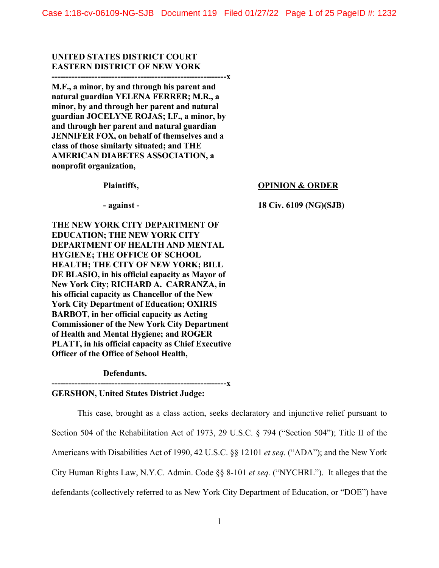# **UNITED STATES DISTRICT COURT EASTERN DISTRICT OF NEW YORK**

**-------------------------------------------------------------x M.F., a minor, by and through his parent and natural guardian YELENA FERRER; M.R., a minor, by and through her parent and natural guardian JOCELYNE ROJAS; I.F., a minor, by and through her parent and natural guardian JENNIFER FOX, on behalf of themselves and a class of those similarly situated; and THE AMERICAN DIABETES ASSOCIATION, a nonprofit organization,** 

**Plaintiffs,** 

### **OPINION & ORDER**

**- against -**

**18 Civ. 6109 (NG)(SJB)** 

 **Officer of the Office of School Health, Defendants. THE NEW YORK CITY DEPARTMENT OF EDUCATION; THE NEW YORK CITY DEPARTMENT OF HEALTH AND MENTAL HYGIENE; THE OFFICE OF SCHOOL HEALTH; THE CITY OF NEW YORK; BILL DE BLASIO, in his official capacity as Mayor of New York City; RICHARD A. CARRANZA, in his official capacity as Chancellor of the New York City Department of Education; OXIRIS BARBOT, in her official capacity as Acting Commissioner of the New York City Department of Health and Mental Hygiene; and ROGER PLATT, in his official capacity as Chief Executive** 

**GERSHON, United States District Judge:** 

**-------------------------------------------------------------x** 

This case, brought as a class action, seeks declaratory and injunctive relief pursuant to Section 504 of the Rehabilitation Act of 1973, 29 U.S.C. § 794 ("Section 504"); Title II of the Americans with Disabilities Act of 1990, 42 U.S.C. §§ 12101 *et seq.* ("ADA"); and the New York City Human Rights Law, N.Y.C. Admin. Code §§ 8-101 *et seq.* ("NYCHRL"). It alleges that the defendants (collectively referred to as New York City Department of Education, or "DOE") have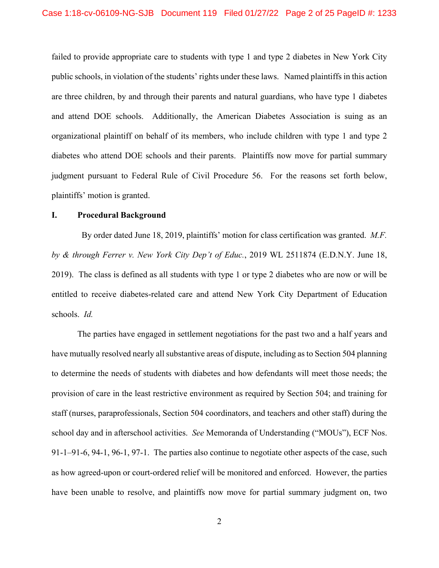failed to provide appropriate care to students with type 1 and type 2 diabetes in New York City public schools, in violation of the students' rights under these laws. Named plaintiffs in this action are three children, by and through their parents and natural guardians, who have type 1 diabetes and attend DOE schools. Additionally, the American Diabetes Association is suing as an organizational plaintiff on behalf of its members, who include children with type 1 and type 2 diabetes who attend DOE schools and their parents. Plaintiffs now move for partial summary judgment pursuant to Federal Rule of Civil Procedure 56. For the reasons set forth below, plaintiffs' motion is granted.

#### **I. Procedural Background**

By order dated June 18, 2019, plaintiffs' motion for class certification was granted. *M.F. by & through Ferrer v. New York City Dep't of Educ.*, 2019 WL 2511874 (E.D.N.Y. June 18, 2019). The class is defined as all students with type 1 or type 2 diabetes who are now or will be entitled to receive diabetes-related care and attend New York City Department of Education schools. *Id.* 

The parties have engaged in settlement negotiations for the past two and a half years and have mutually resolved nearly all substantive areas of dispute, including as to Section 504 planning to determine the needs of students with diabetes and how defendants will meet those needs; the provision of care in the least restrictive environment as required by Section 504; and training for staff (nurses, paraprofessionals, Section 504 coordinators, and teachers and other staff) during the school day and in afterschool activities. *See* Memoranda of Understanding ("MOUs"), ECF Nos. 91-1–91-6, 94-1, 96-1, 97-1. The parties also continue to negotiate other aspects of the case, such as how agreed-upon or court-ordered relief will be monitored and enforced. However, the parties have been unable to resolve, and plaintiffs now move for partial summary judgment on, two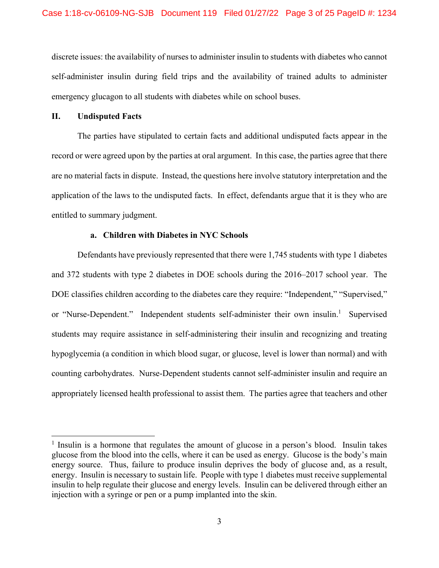discrete issues: the availability of nurses to administer insulin to students with diabetes who cannot self-administer insulin during field trips and the availability of trained adults to administer emergency glucagon to all students with diabetes while on school buses.

### **II. Undisputed Facts**

 $\overline{a}$ 

The parties have stipulated to certain facts and additional undisputed facts appear in the record or were agreed upon by the parties at oral argument. In this case, the parties agree that there are no material facts in dispute. Instead, the questions here involve statutory interpretation and the application of the laws to the undisputed facts. In effect, defendants argue that it is they who are entitled to summary judgment.

# **a. Children with Diabetes in NYC Schools**

Defendants have previously represented that there were 1,745 students with type 1 diabetes and 372 students with type 2 diabetes in DOE schools during the 2016–2017 school year. The DOE classifies children according to the diabetes care they require: "Independent," "Supervised," or "Nurse-Dependent." Independent students self-administer their own insulin.<sup>1</sup> Supervised students may require assistance in self-administering their insulin and recognizing and treating hypoglycemia (a condition in which blood sugar, or glucose, level is lower than normal) and with counting carbohydrates. Nurse-Dependent students cannot self-administer insulin and require an appropriately licensed health professional to assist them. The parties agree that teachers and other

<sup>&</sup>lt;sup>1</sup> Insulin is a hormone that regulates the amount of glucose in a person's blood. Insulin takes glucose from the blood into the cells, where it can be used as energy. Glucose is the body's main energy source. Thus, failure to produce insulin deprives the body of glucose and, as a result, energy. Insulin is necessary to sustain life. People with type 1 diabetes must receive supplemental insulin to help regulate their glucose and energy levels. Insulin can be delivered through either an injection with a syringe or pen or a pump implanted into the skin.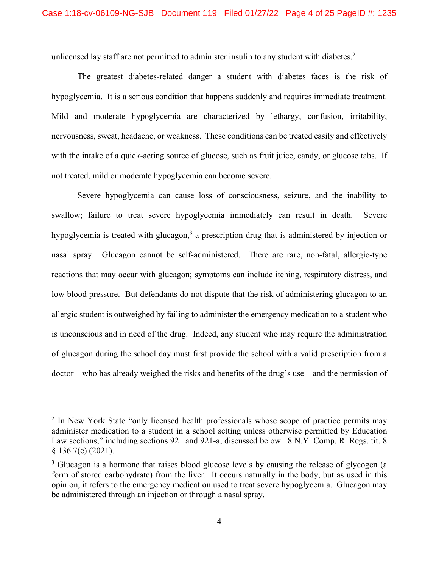unlicensed lay staff are not permitted to administer insulin to any student with diabetes. $2$ 

The greatest diabetes-related danger a student with diabetes faces is the risk of hypoglycemia. It is a serious condition that happens suddenly and requires immediate treatment. Mild and moderate hypoglycemia are characterized by lethargy, confusion, irritability, nervousness, sweat, headache, or weakness. These conditions can be treated easily and effectively with the intake of a quick-acting source of glucose, such as fruit juice, candy, or glucose tabs. If not treated, mild or moderate hypoglycemia can become severe.

Severe hypoglycemia can cause loss of consciousness, seizure, and the inability to swallow; failure to treat severe hypoglycemia immediately can result in death. Severe hypoglycemia is treated with glucagon,<sup>3</sup> a prescription drug that is administered by injection or nasal spray. Glucagon cannot be self-administered. There are rare, non-fatal, allergic-type reactions that may occur with glucagon; symptoms can include itching, respiratory distress, and low blood pressure. But defendants do not dispute that the risk of administering glucagon to an allergic student is outweighed by failing to administer the emergency medication to a student who is unconscious and in need of the drug. Indeed, any student who may require the administration of glucagon during the school day must first provide the school with a valid prescription from a doctor—who has already weighed the risks and benefits of the drug's use—and the permission of

<sup>&</sup>lt;sup>2</sup> In New York State "only licensed health professionals whose scope of practice permits may administer medication to a student in a school setting unless otherwise permitted by Education Law sections," including sections 921 and 921-a, discussed below. 8 N.Y. Comp. R. Regs. tit. 8 § 136.7(e) (2021).

<sup>&</sup>lt;sup>3</sup> Glucagon is a hormone that raises blood glucose levels by causing the release of glycogen (a form of stored carbohydrate) from the liver. It occurs naturally in the body, but as used in this opinion, it refers to the emergency medication used to treat severe hypoglycemia. Glucagon may be administered through an injection or through a nasal spray.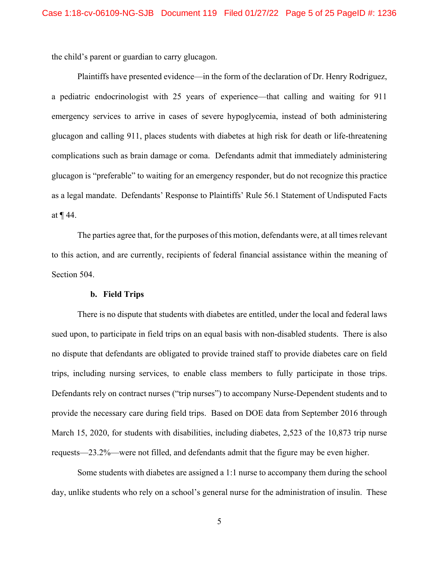the child's parent or guardian to carry glucagon.

Plaintiffs have presented evidence—in the form of the declaration of Dr. Henry Rodriguez, a pediatric endocrinologist with 25 years of experience—that calling and waiting for 911 emergency services to arrive in cases of severe hypoglycemia, instead of both administering glucagon and calling 911, places students with diabetes at high risk for death or life-threatening complications such as brain damage or coma. Defendants admit that immediately administering glucagon is "preferable" to waiting for an emergency responder, but do not recognize this practice as a legal mandate. Defendants' Response to Plaintiffs' Rule 56.1 Statement of Undisputed Facts at ¶ 44.

The parties agree that, for the purposes of this motion, defendants were, at all times relevant to this action, and are currently, recipients of federal financial assistance within the meaning of Section 504.

# **b. Field Trips**

trips, including nursing services, to enable class members to fully participate in those trips. There is no dispute that students with diabetes are entitled, under the local and federal laws sued upon, to participate in field trips on an equal basis with non-disabled students. There is also no dispute that defendants are obligated to provide trained staff to provide diabetes care on field Defendants rely on contract nurses ("trip nurses") to accompany Nurse-Dependent students and to provide the necessary care during field trips. Based on DOE data from September 2016 through March 15, 2020, for students with disabilities, including diabetes, 2,523 of the 10,873 trip nurse requests—23.2%—were not filled, and defendants admit that the figure may be even higher.

Some students with diabetes are assigned a 1:1 nurse to accompany them during the school day, unlike students who rely on a school's general nurse for the administration of insulin. These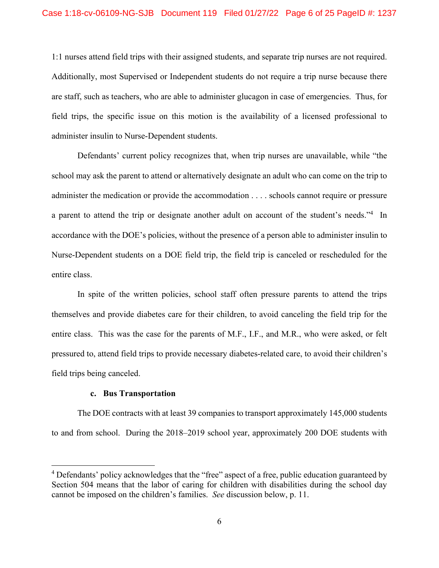1:1 nurses attend field trips with their assigned students, and separate trip nurses are not required. Additionally, most Supervised or Independent students do not require a trip nurse because there are staff, such as teachers, who are able to administer glucagon in case of emergencies. Thus, for field trips, the specific issue on this motion is the availability of a licensed professional to administer insulin to Nurse-Dependent students.

Defendants' current policy recognizes that, when trip nurses are unavailable, while "the school may ask the parent to attend or alternatively designate an adult who can come on the trip to administer the medication or provide the accommodation . . . . schools cannot require or pressure a parent to attend the trip or designate another adult on account of the student's needs."<sup>4</sup> In accordance with the DOE's policies, without the presence of a person able to administer insulin to Nurse-Dependent students on a DOE field trip, the field trip is canceled or rescheduled for the entire class.

In spite of the written policies, school staff often pressure parents to attend the trips themselves and provide diabetes care for their children, to avoid canceling the field trip for the entire class. This was the case for the parents of M.F., I.F., and M.R., who were asked, or felt pressured to, attend field trips to provide necessary diabetes-related care, to avoid their children's field trips being canceled.

#### **c. Bus Transportation**

 $\overline{a}$ 

The DOE contracts with at least 39 companies to transport approximately 145,000 students to and from school. During the 2018–2019 school year, approximately 200 DOE students with

<sup>&</sup>lt;sup>4</sup> Defendants' policy acknowledges that the "free" aspect of a free, public education guaranteed by Section 504 means that the labor of caring for children with disabilities during the school day cannot be imposed on the children's families. *See* discussion below, p. 11.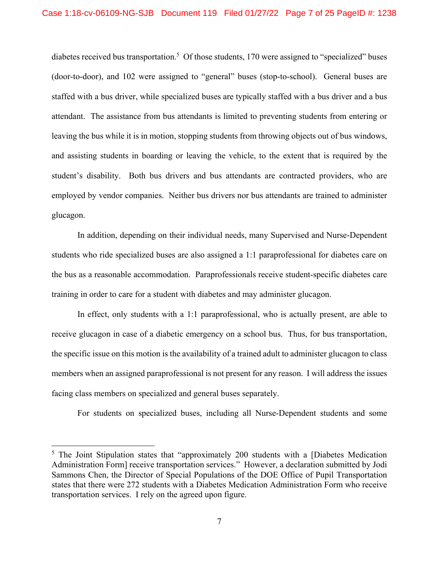diabetes received bus transportation.<sup>5</sup> Of those students, 170 were assigned to "specialized" buses (door-to-door), and 102 were assigned to "general" buses (stop-to-school). General buses are staffed with a bus driver, while specialized buses are typically staffed with a bus driver and a bus attendant. The assistance from bus attendants is limited to preventing students from entering or leaving the bus while it is in motion, stopping students from throwing objects out of bus windows, and assisting students in boarding or leaving the vehicle, to the extent that is required by the student's disability. Both bus drivers and bus attendants are contracted providers, who are employed by vendor companies. Neither bus drivers nor bus attendants are trained to administer glucagon.

In addition, depending on their individual needs, many Supervised and Nurse-Dependent students who ride specialized buses are also assigned a 1:1 paraprofessional for diabetes care on the bus as a reasonable accommodation. Paraprofessionals receive student-specific diabetes care training in order to care for a student with diabetes and may administer glucagon.

In effect, only students with a 1:1 paraprofessional, who is actually present, are able to receive glucagon in case of a diabetic emergency on a school bus. Thus, for bus transportation, the specific issue on this motion is the availability of a trained adult to administer glucagon to class members when an assigned paraprofessional is not present for any reason. I will address the issues facing class members on specialized and general buses separately.

For students on specialized buses, including all Nurse-Dependent students and some

1

<sup>&</sup>lt;sup>5</sup> The Joint Stipulation states that "approximately 200 students with a [Diabetes Medication Administration Form] receive transportation services." However, a declaration submitted by Jodi Sammons Chen, the Director of Special Populations of the DOE Office of Pupil Transportation states that there were 272 students with a Diabetes Medication Administration Form who receive transportation services. I rely on the agreed upon figure.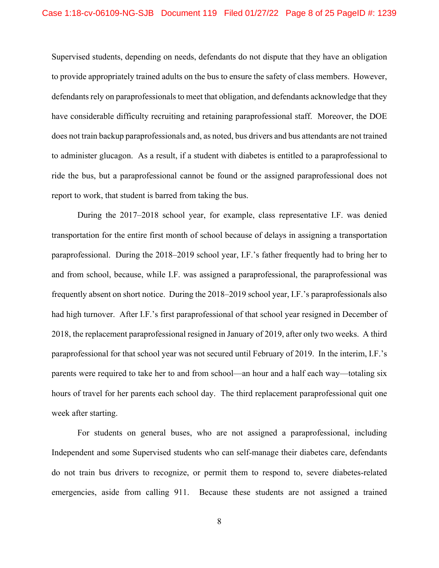Supervised students, depending on needs, defendants do not dispute that they have an obligation to provide appropriately trained adults on the bus to ensure the safety of class members. However, defendants rely on paraprofessionals to meet that obligation, and defendants acknowledge that they have considerable difficulty recruiting and retaining paraprofessional staff. Moreover, the DOE does not train backup paraprofessionals and, as noted, bus drivers and bus attendants are not trained to administer glucagon. As a result, if a student with diabetes is entitled to a paraprofessional to ride the bus, but a paraprofessional cannot be found or the assigned paraprofessional does not report to work, that student is barred from taking the bus.

During the 2017–2018 school year, for example, class representative I.F. was denied transportation for the entire first month of school because of delays in assigning a transportation paraprofessional. During the 2018–2019 school year, I.F.'s father frequently had to bring her to and from school, because, while I.F. was assigned a paraprofessional, the paraprofessional was frequently absent on short notice. During the 2018–2019 school year, I.F.'s paraprofessionals also had high turnover. After I.F.'s first paraprofessional of that school year resigned in December of 2018, the replacement paraprofessional resigned in January of 2019, after only two weeks. A third paraprofessional for that school year was not secured until February of 2019. In the interim, I.F.'s parents were required to take her to and from school—an hour and a half each way—totaling six hours of travel for her parents each school day. The third replacement paraprofessional quit one week after starting.

For students on general buses, who are not assigned a paraprofessional, including Independent and some Supervised students who can self-manage their diabetes care, defendants do not train bus drivers to recognize, or permit them to respond to, severe diabetes-related emergencies, aside from calling 911. Because these students are not assigned a trained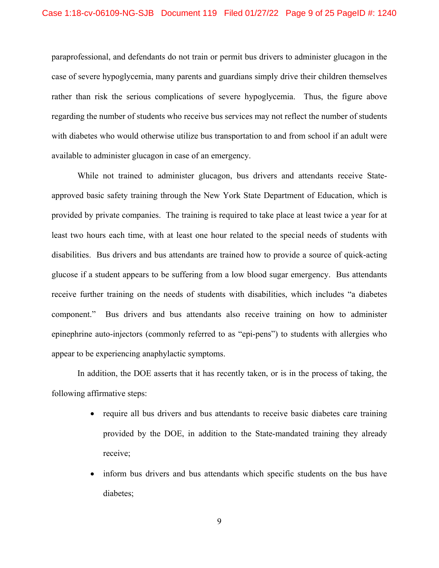paraprofessional, and defendants do not train or permit bus drivers to administer glucagon in the case of severe hypoglycemia, many parents and guardians simply drive their children themselves rather than risk the serious complications of severe hypoglycemia. Thus, the figure above regarding the number of students who receive bus services may not reflect the number of students with diabetes who would otherwise utilize bus transportation to and from school if an adult were available to administer glucagon in case of an emergency.

While not trained to administer glucagon, bus drivers and attendants receive Stateapproved basic safety training through the New York State Department of Education, which is provided by private companies. The training is required to take place at least twice a year for at least two hours each time, with at least one hour related to the special needs of students with disabilities. Bus drivers and bus attendants are trained how to provide a source of quick-acting glucose if a student appears to be suffering from a low blood sugar emergency. Bus attendants receive further training on the needs of students with disabilities, which includes "a diabetes component." Bus drivers and bus attendants also receive training on how to administer epinephrine auto-injectors (commonly referred to as "epi-pens") to students with allergies who appear to be experiencing anaphylactic symptoms.

In addition, the DOE asserts that it has recently taken, or is in the process of taking, the following affirmative steps:

- require all bus drivers and bus attendants to receive basic diabetes care training provided by the DOE, in addition to the State-mandated training they already receive;
- inform bus drivers and bus attendants which specific students on the bus have diabetes;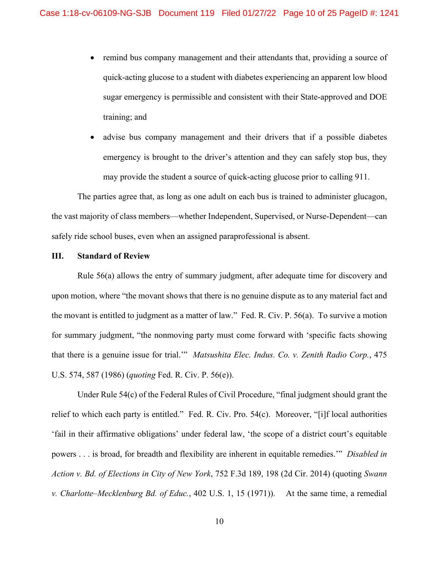- remind bus company management and their attendants that, providing a source of quick-acting glucose to a student with diabetes experiencing an apparent low blood sugar emergency is permissible and consistent with their State-approved and DOE training; and
- advise bus company management and their drivers that if a possible diabetes emergency is brought to the driver's attention and they can safely stop bus, they may provide the student a source of quick-acting glucose prior to calling 911.

The parties agree that, as long as one adult on each bus is trained to administer glucagon, the vast majority of class members—whether Independent, Supervised, or Nurse-Dependent—can safely ride school buses, even when an assigned paraprofessional is absent.

### **III. Standard of Review**

Rule 56(a) allows the entry of summary judgment, after adequate time for discovery and upon motion, where "the movant shows that there is no genuine dispute as to any material fact and the movant is entitled to judgment as a matter of law." Fed. R. Civ. P. 56(a). To survive a motion for summary judgment, "the nonmoving party must come forward with 'specific facts showing that there is a genuine issue for trial.'" *Matsushita Elec. Indus. Co. v. Zenith Radio Corp.*, 475 U.S. 574, 587 (1986) (*quoting* Fed. R. Civ. P. 56(e)).

Under Rule 54(c) of the Federal Rules of Civil Procedure, "final judgment should grant the relief to which each party is entitled." Fed. R. Civ. Pro. 54(c). Moreover, "[i]f local authorities 'fail in their affirmative obligations' under federal law, 'the scope of a district court's equitable powers . . . is broad, for breadth and flexibility are inherent in equitable remedies.'" *Disabled in Action v. Bd. of Elections in City of New York*, 752 F.3d 189, 198 (2d Cir. 2014) (quoting *Swann v. Charlotte–Mecklenburg Bd. of Educ.*, 402 U.S. 1, 15 (1971)). At the same time, a remedial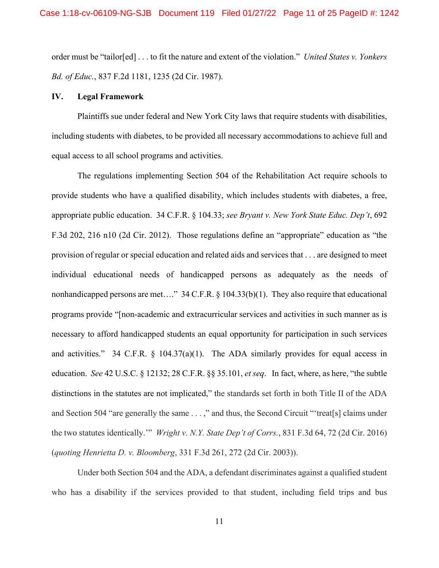order must be "tailor[ed] . . . to fit the nature and extent of the violation." *United States v. Yonkers Bd. of Educ.*, 837 F.2d 1181, 1235 (2d Cir. 1987).

#### **IV. Legal Framework**

Plaintiffs sue under federal and New York City laws that require students with disabilities, including students with diabetes, to be provided all necessary accommodations to achieve full and equal access to all school programs and activities.

The regulations implementing Section 504 of the Rehabilitation Act require schools to provide students who have a qualified disability, which includes students with diabetes, a free, appropriate public education. 34 C.F.R. § 104.33; *see Bryant v. New York State Educ. Dep't*, 692 F.3d 202, 216 n10 (2d Cir. 2012). Those regulations define an "appropriate" education as "the provision of regular or special education and related aids and services that . . . are designed to meet individual educational needs of handicapped persons as adequately as the needs of nonhandicapped persons are met...." 34 C.F.R. § 104.33(b)(1). They also require that educational programs provide "[non-academic and extracurricular services and activities in such manner as is necessary to afford handicapped students an equal opportunity for participation in such services and activities." 34 C.F.R.  $\S$  104.37(a)(1). The ADA similarly provides for equal access in education. *See* 42 U.S.C. § 12132; 28 C.F.R. §§ 35.101, *et seq*. In fact, where, as here, "the subtle distinctions in the statutes are not implicated," the standards set forth in both Title II of the ADA and Section 504 "are generally the same . . . ," and thus, the Second Circuit "'treat[s] claims under the two statutes identically.'" *Wright v. N.Y. State Dep't of Corrs.*, 831 F.3d 64, 72 (2d Cir. 2016) (*quoting Henrietta D. v. Bloomberg*, 331 F.3d 261, 272 (2d Cir. 2003)).

Under both Section 504 and the ADA, a defendant discriminates against a qualified student who has a disability if the services provided to that student, including field trips and bus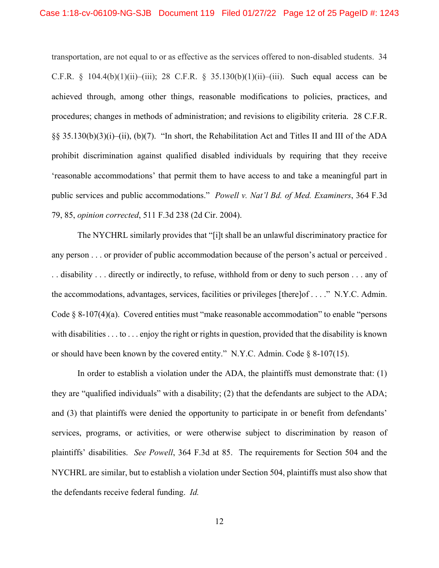transportation, are not equal to or as effective as the services offered to non-disabled students. 34 C.F.R. § 104.4(b)(1)(ii)–(iii); 28 C.F.R. § 35.130(b)(1)(ii)–(iii). Such equal access can be achieved through, among other things, reasonable modifications to policies, practices, and procedures; changes in methods of administration; and revisions to eligibility criteria. 28 C.F.R. §§ 35.130(b)(3)(i)–(ii), (b)(7). "In short, the Rehabilitation Act and Titles II and III of the ADA prohibit discrimination against qualified disabled individuals by requiring that they receive 'reasonable accommodations' that permit them to have access to and take a meaningful part in public services and public accommodations." *Powell v. Nat'l Bd. of Med. Examiners*, 364 F.3d 79, 85, *opinion corrected*, 511 F.3d 238 (2d Cir. 2004).

The NYCHRL similarly provides that "[i]t shall be an unlawful discriminatory practice for any person . . . or provider of public accommodation because of the person's actual or perceived . . . disability . . . directly or indirectly, to refuse, withhold from or deny to such person . . . any of the accommodations, advantages, services, facilities or privileges [there]of . . . ." N.Y.C. Admin. Code § 8-107(4)(a). Covered entities must "make reasonable accommodation" to enable "persons with disabilities . . . to . . . enjoy the right or rights in question, provided that the disability is known or should have been known by the covered entity." N.Y.C. Admin. Code  $\S$  8-107(15).

 the defendants receive federal funding. *Id.* In order to establish a violation under the ADA, the plaintiffs must demonstrate that: (1) they are "qualified individuals" with a disability; (2) that the defendants are subject to the ADA; and (3) that plaintiffs were denied the opportunity to participate in or benefit from defendants' services, programs, or activities, or were otherwise subject to discrimination by reason of plaintiffs' disabilities. *See Powell*, 364 F.3d at 85. The requirements for Section 504 and the NYCHRL are similar, but to establish a violation under Section 504, plaintiffs must also show that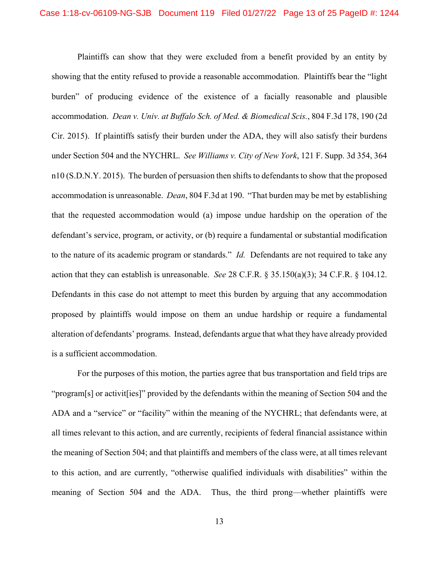action that they can establish is unreasonable. *See* 28 C.F.R. § 35.150(a)(3); 34 C.F.R. § 104.12. Plaintiffs can show that they were excluded from a benefit provided by an entity by showing that the entity refused to provide a reasonable accommodation. Plaintiffs bear the "light burden" of producing evidence of the existence of a facially reasonable and plausible accommodation. *Dean v. Univ. at Buffalo Sch. of Med. & Biomedical Scis.*, 804 F.3d 178, 190 (2d Cir. 2015). If plaintiffs satisfy their burden under the ADA, they will also satisfy their burdens under Section 504 and the NYCHRL. *See Williams v. City of New York*, 121 F. Supp. 3d 354, 364 n10 (S.D.N.Y. 2015). The burden of persuasion then shifts to defendants to show that the proposed accommodation is unreasonable. *Dean*, 804 F.3d at 190. "That burden may be met by establishing that the requested accommodation would (a) impose undue hardship on the operation of the defendant's service, program, or activity, or (b) require a fundamental or substantial modification to the nature of its academic program or standards." *Id.* Defendants are not required to take any Defendants in this case do not attempt to meet this burden by arguing that any accommodation proposed by plaintiffs would impose on them an undue hardship or require a fundamental alteration of defendants' programs. Instead, defendants argue that what they have already provided is a sufficient accommodation.

For the purposes of this motion, the parties agree that bus transportation and field trips are "program[s] or activit[ies]" provided by the defendants within the meaning of Section 504 and the ADA and a "service" or "facility" within the meaning of the NYCHRL; that defendants were, at all times relevant to this action, and are currently, recipients of federal financial assistance within the meaning of Section 504; and that plaintiffs and members of the class were, at all times relevant to this action, and are currently, "otherwise qualified individuals with disabilities" within the meaning of Section 504 and the ADA. Thus, the third prong—whether plaintiffs were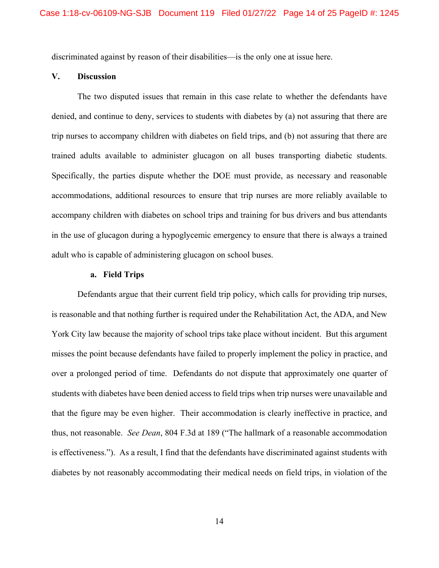discriminated against by reason of their disabilities—is the only one at issue here.

#### **V. Discussion**

The two disputed issues that remain in this case relate to whether the defendants have denied, and continue to deny, services to students with diabetes by (a) not assuring that there are trip nurses to accompany children with diabetes on field trips, and (b) not assuring that there are trained adults available to administer glucagon on all buses transporting diabetic students. Specifically, the parties dispute whether the DOE must provide, as necessary and reasonable accommodations, additional resources to ensure that trip nurses are more reliably available to accompany children with diabetes on school trips and training for bus drivers and bus attendants in the use of glucagon during a hypoglycemic emergency to ensure that there is always a trained adult who is capable of administering glucagon on school buses.

## **a. Field Trips**

Defendants argue that their current field trip policy, which calls for providing trip nurses, is reasonable and that nothing further is required under the Rehabilitation Act, the ADA, and New York City law because the majority of school trips take place without incident. But this argument misses the point because defendants have failed to properly implement the policy in practice, and over a prolonged period of time. Defendants do not dispute that approximately one quarter of students with diabetes have been denied access to field trips when trip nurses were unavailable and that the figure may be even higher. Their accommodation is clearly ineffective in practice, and thus, not reasonable. *See Dean*, 804 F.3d at 189 ("The hallmark of a reasonable accommodation is effectiveness."). As a result, I find that the defendants have discriminated against students with diabetes by not reasonably accommodating their medical needs on field trips, in violation of the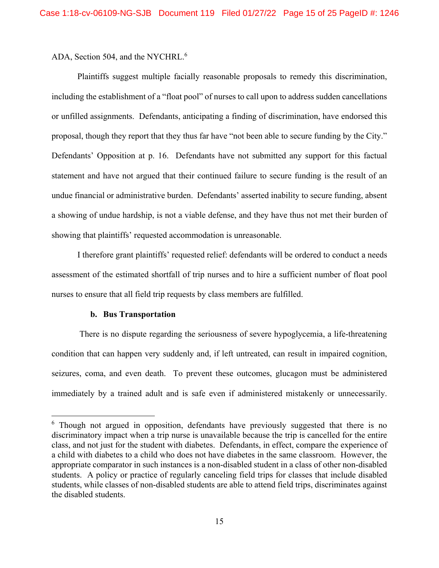ADA, Section 504, and the NYCHRL.<sup>6</sup>

Plaintiffs suggest multiple facially reasonable proposals to remedy this discrimination, including the establishment of a "float pool" of nurses to call upon to address sudden cancellations or unfilled assignments. Defendants, anticipating a finding of discrimination, have endorsed this proposal, though they report that they thus far have "not been able to secure funding by the City." Defendants' Opposition at p. 16. Defendants have not submitted any support for this factual statement and have not argued that their continued failure to secure funding is the result of an undue financial or administrative burden. Defendants' asserted inability to secure funding, absent a showing of undue hardship, is not a viable defense, and they have thus not met their burden of showing that plaintiffs' requested accommodation is unreasonable.

I therefore grant plaintiffs' requested relief: defendants will be ordered to conduct a needs assessment of the estimated shortfall of trip nurses and to hire a sufficient number of float pool nurses to ensure that all field trip requests by class members are fulfilled.

### **b. Bus Transportation**

 $\overline{a}$ 

There is no dispute regarding the seriousness of severe hypoglycemia, a life-threatening condition that can happen very suddenly and, if left untreated, can result in impaired cognition, seizures, coma, and even death. To prevent these outcomes, glucagon must be administered immediately by a trained adult and is safe even if administered mistakenly or unnecessarily.

<sup>&</sup>lt;sup>6</sup> Though not argued in opposition, defendants have previously suggested that there is no discriminatory impact when a trip nurse is unavailable because the trip is cancelled for the entire class, and not just for the student with diabetes. Defendants, in effect, compare the experience of a child with diabetes to a child who does not have diabetes in the same classroom. However, the appropriate comparator in such instances is a non-disabled student in a class of other non-disabled students. A policy or practice of regularly canceling field trips for classes that include disabled students, while classes of non-disabled students are able to attend field trips, discriminates against the disabled students.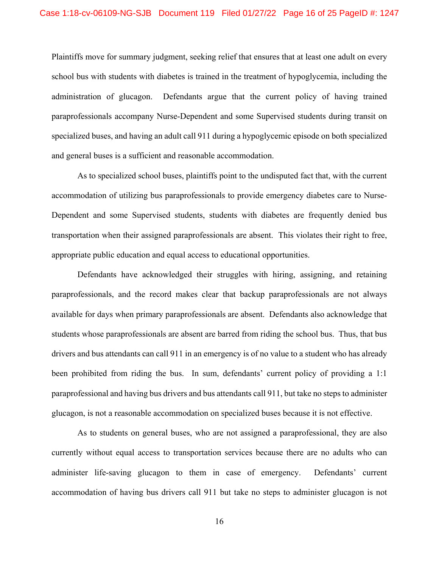Plaintiffs move for summary judgment, seeking relief that ensures that at least one adult on every school bus with students with diabetes is trained in the treatment of hypoglycemia, including the administration of glucagon. Defendants argue that the current policy of having trained paraprofessionals accompany Nurse-Dependent and some Supervised students during transit on specialized buses, and having an adult call 911 during a hypoglycemic episode on both specialized and general buses is a sufficient and reasonable accommodation.

As to specialized school buses, plaintiffs point to the undisputed fact that, with the current accommodation of utilizing bus paraprofessionals to provide emergency diabetes care to Nurse-Dependent and some Supervised students, students with diabetes are frequently denied bus transportation when their assigned paraprofessionals are absent. This violates their right to free, appropriate public education and equal access to educational opportunities.

Defendants have acknowledged their struggles with hiring, assigning, and retaining paraprofessionals, and the record makes clear that backup paraprofessionals are not always available for days when primary paraprofessionals are absent. Defendants also acknowledge that students whose paraprofessionals are absent are barred from riding the school bus. Thus, that bus drivers and bus attendants can call 911 in an emergency is of no value to a student who has already been prohibited from riding the bus. In sum, defendants' current policy of providing a 1:1 paraprofessional and having bus drivers and bus attendants call 911, but take no steps to administer glucagon, is not a reasonable accommodation on specialized buses because it is not effective.

As to students on general buses, who are not assigned a paraprofessional, they are also currently without equal access to transportation services because there are no adults who can administer life-saving glucagon to them in case of emergency. Defendants' current accommodation of having bus drivers call 911 but take no steps to administer glucagon is not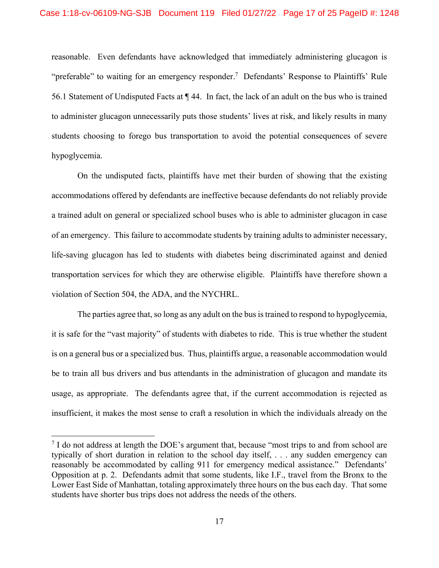reasonable. Even defendants have acknowledged that immediately administering glucagon is "preferable" to waiting for an emergency responder.<sup>7</sup> Defendants' Response to Plaintiffs' Rule 56.1 Statement of Undisputed Facts at ¶ 44. In fact, the lack of an adult on the bus who is trained to administer glucagon unnecessarily puts those students' lives at risk, and likely results in many students choosing to forego bus transportation to avoid the potential consequences of severe hypoglycemia.

On the undisputed facts, plaintiffs have met their burden of showing that the existing accommodations offered by defendants are ineffective because defendants do not reliably provide a trained adult on general or specialized school buses who is able to administer glucagon in case of an emergency. This failure to accommodate students by training adults to administer necessary, life-saving glucagon has led to students with diabetes being discriminated against and denied transportation services for which they are otherwise eligible. Plaintiffs have therefore shown a violation of Section 504, the ADA, and the NYCHRL.

The parties agree that, so long as any adult on the bus is trained to respond to hypoglycemia, it is safe for the "vast majority" of students with diabetes to ride. This is true whether the student is on a general bus or a specialized bus. Thus, plaintiffs argue, a reasonable accommodation would be to train all bus drivers and bus attendants in the administration of glucagon and mandate its usage, as appropriate. The defendants agree that, if the current accommodation is rejected as insufficient, it makes the most sense to craft a resolution in which the individuals already on the

1

 $7$  I do not address at length the DOE's argument that, because "most trips to and from school are typically of short duration in relation to the school day itself, . . . any sudden emergency can reasonably be accommodated by calling 911 for emergency medical assistance." Defendants' Opposition at p. 2. Defendants admit that some students, like I.F., travel from the Bronx to the Lower East Side of Manhattan, totaling approximately three hours on the bus each day. That some students have shorter bus trips does not address the needs of the others.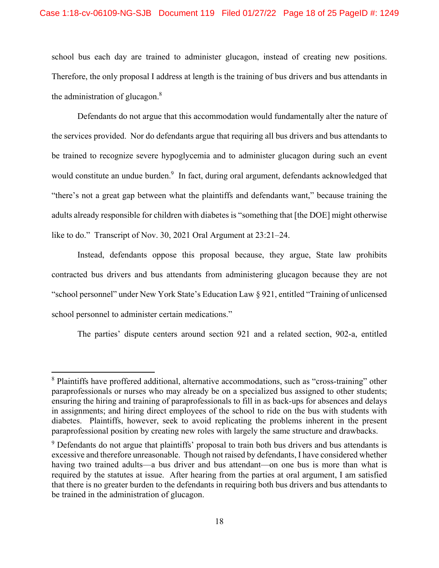school bus each day are trained to administer glucagon, instead of creating new positions. Therefore, the only proposal I address at length is the training of bus drivers and bus attendants in the administration of glucagon. $8$ 

Defendants do not argue that this accommodation would fundamentally alter the nature of the services provided. Nor do defendants argue that requiring all bus drivers and bus attendants to be trained to recognize severe hypoglycemia and to administer glucagon during such an event would constitute an undue burden.<sup>9</sup> In fact, during oral argument, defendants acknowledged that "there's not a great gap between what the plaintiffs and defendants want," because training the adults already responsible for children with diabetes is "something that [the DOE] might otherwise like to do." Transcript of Nov. 30, 2021 Oral Argument at 23:21–24.

Instead, defendants oppose this proposal because, they argue, State law prohibits contracted bus drivers and bus attendants from administering glucagon because they are not "school personnel" under New York State's Education Law § 921, entitled "Training of unlicensed school personnel to administer certain medications."

The parties' dispute centers around section 921 and a related section, 902-a, entitled

<sup>&</sup>lt;sup>8</sup> Plaintiffs have proffered additional, alternative accommodations, such as "cross-training" other paraprofessionals or nurses who may already be on a specialized bus assigned to other students; ensuring the hiring and training of paraprofessionals to fill in as back-ups for absences and delays in assignments; and hiring direct employees of the school to ride on the bus with students with diabetes. Plaintiffs, however, seek to avoid replicating the problems inherent in the present paraprofessional position by creating new roles with largely the same structure and drawbacks.

<sup>&</sup>lt;sup>9</sup> Defendants do not argue that plaintiffs' proposal to train both bus drivers and bus attendants is excessive and therefore unreasonable. Though not raised by defendants, I have considered whether having two trained adults—a bus driver and bus attendant—on one bus is more than what is required by the statutes at issue. After hearing from the parties at oral argument, I am satisfied that there is no greater burden to the defendants in requiring both bus drivers and bus attendants to be trained in the administration of glucagon.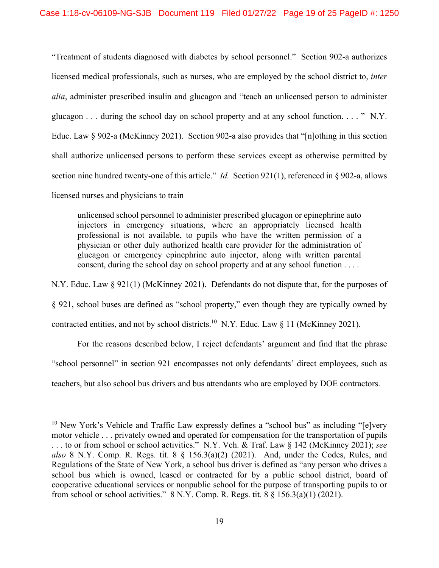"Treatment of students diagnosed with diabetes by school personnel." Section 902-a authorizes licensed medical professionals, such as nurses, who are employed by the school district to, *inter alia*, administer prescribed insulin and glucagon and "teach an unlicensed person to administer glucagon  $\ldots$  during the school day on school property and at any school function.  $\ldots$  "N.Y. Educ. Law § 902-a (McKinney 2021). Section 902-a also provides that "[n]othing in this section shall authorize unlicensed persons to perform these services except as otherwise permitted by section nine hundred twenty-one of this article." *Id.* Section 921(1), referenced in § 902-a, allows licensed nurses and physicians to train

unlicensed school personnel to administer prescribed glucagon or epinephrine auto injectors in emergency situations, where an appropriately licensed health professional is not available, to pupils who have the written permission of a physician or other duly authorized health care provider for the administration of glucagon or emergency epinephrine auto injector, along with written parental consent, during the school day on school property and at any school function . . . .

N.Y. Educ. Law § 921(1) (McKinney 2021). Defendants do not dispute that, for the purposes of § 921, school buses are defined as "school property," even though they are typically owned by contracted entities, and not by school districts.<sup>10</sup> N.Y. Educ. Law  $\S$  11 (McKinney 2021).

For the reasons described below, I reject defendants' argument and find that the phrase "school personnel" in section 921 encompasses not only defendants' direct employees, such as teachers, but also school bus drivers and bus attendants who are employed by DOE contractors.

 $10$  New York's Vehicle and Traffic Law expressly defines a "school bus" as including "[e]very motor vehicle . . . privately owned and operated for compensation for the transportation of pupils . . . to or from school or school activities." N.Y. Veh. & Traf. Law § 142 (McKinney 2021); *see also* 8 N.Y. Comp. R. Regs. tit. 8 § 156.3(a)(2) (2021). And, under the Codes, Rules, and Regulations of the State of New York, a school bus driver is defined as "any person who drives a school bus which is owned, leased or contracted for by a public school district, board of cooperative educational services or nonpublic school for the purpose of transporting pupils to or from school or school activities."  $8 \text{ N.Y.}$  Comp. R. Regs. tit.  $8 \text{ § } 156.3(a)(1)(2021)$ .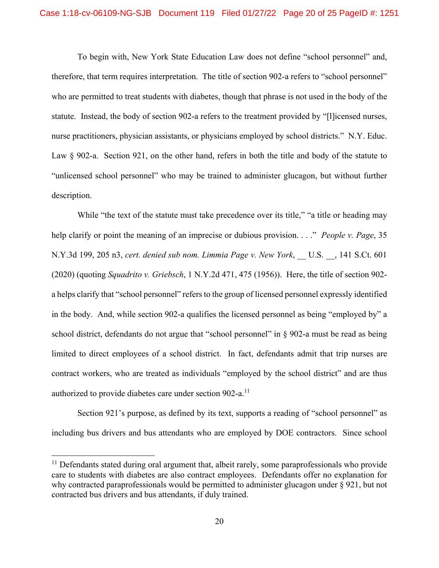To begin with, New York State Education Law does not define "school personnel" and, therefore, that term requires interpretation. The title of section 902-a refers to "school personnel" who are permitted to treat students with diabetes, though that phrase is not used in the body of the statute. Instead, the body of section 902-a refers to the treatment provided by "[l]icensed nurses, nurse practitioners, physician assistants, or physicians employed by school districts." N.Y. Educ. Law § 902-a. Section 921, on the other hand, refers in both the title and body of the statute to "unlicensed school personnel" who may be trained to administer glucagon, but without further description.

authorized to provide diabetes care under section  $902-a$ .<sup>11</sup> While "the text of the statute must take precedence over its title," "a title or heading may help clarify or point the meaning of an imprecise or dubious provision. . . ." *People v. Page*, 35 N.Y.3d 199, 205 n3, *cert. denied sub nom. Limmia Page v. New York*, \_\_ U.S. \_\_, 141 S.Ct. 601 (2020) (quoting *Squadrito v. Griebsch*, 1 N.Y.2d 471, 475 (1956)). Here, the title of section 902 a helps clarify that "school personnel" refers to the group of licensed personnel expressly identified in the body. And, while section 902-a qualifies the licensed personnel as being "employed by" a school district, defendants do not argue that "school personnel" in § 902-a must be read as being limited to direct employees of a school district. In fact, defendants admit that trip nurses are contract workers, who are treated as individuals "employed by the school district" and are thus

Section 921's purpose, as defined by its text, supports a reading of "school personnel" as including bus drivers and bus attendants who are employed by DOE contractors. Since school

 $11$  Defendants stated during oral argument that, albeit rarely, some paraprofessionals who provide care to students with diabetes are also contract employees. Defendants offer no explanation for why contracted paraprofessionals would be permitted to administer glucagon under § 921, but not contracted bus drivers and bus attendants, if duly trained.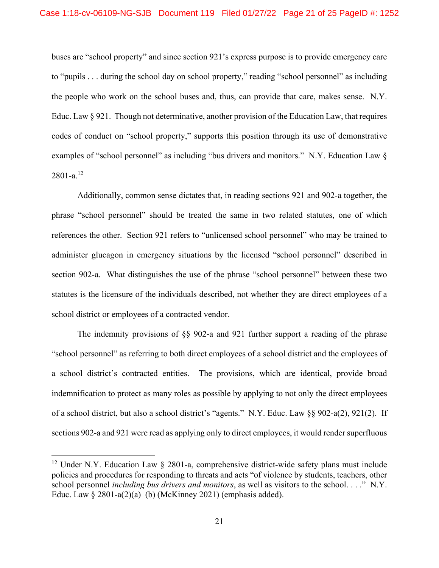$2801-a.<sup>12</sup>$ buses are "school property" and since section 921's express purpose is to provide emergency care to "pupils . . . during the school day on school property," reading "school personnel" as including the people who work on the school buses and, thus, can provide that care, makes sense. N.Y. Educ. Law § 921. Though not determinative, another provision of the Education Law, that requires codes of conduct on "school property," supports this position through its use of demonstrative examples of "school personnel" as including "bus drivers and monitors." N.Y. Education Law  $\delta$ 

Additionally, common sense dictates that, in reading sections 921 and 902-a together, the phrase "school personnel" should be treated the same in two related statutes, one of which references the other. Section 921 refers to "unlicensed school personnel" who may be trained to administer glucagon in emergency situations by the licensed "school personnel" described in section 902-a. What distinguishes the use of the phrase "school personnel" between these two statutes is the licensure of the individuals described, not whether they are direct employees of a school district or employees of a contracted vendor.

The indemnity provisions of §§ 902-a and 921 further support a reading of the phrase "school personnel" as referring to both direct employees of a school district and the employees of a school district's contracted entities. The provisions, which are identical, provide broad indemnification to protect as many roles as possible by applying to not only the direct employees of a school district, but also a school district's "agents." N.Y. Educ. Law §§ 902-a(2), 921(2). If sections 902-a and 921 were read as applying only to direct employees, it would render superfluous

<sup>&</sup>lt;sup>12</sup> Under N.Y. Education Law  $\S$  2801-a, comprehensive district-wide safety plans must include policies and procedures for responding to threats and acts "of violence by students, teachers, other school personnel *including bus drivers and monitors*, as well as visitors to the school. . . ." N.Y. Educ. Law  $\S 2801-a(2)(a)$ –(b) (McKinney 2021) (emphasis added).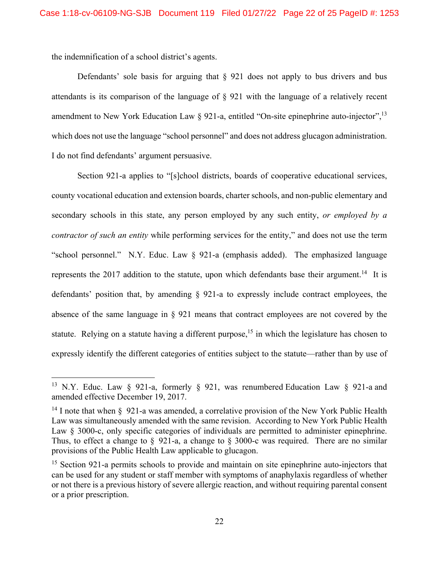the indemnification of a school district's agents.

 $\overline{a}$ 

Defendants' sole basis for arguing that § 921 does not apply to bus drivers and bus attendants is its comparison of the language of § 921 with the language of a relatively recent amendment to New York Education Law  $\S$  921-a, entitled "On-site epinephrine auto-injector",  $^{13}$ which does not use the language "school personnel" and does not address glucagon administration. I do not find defendants' argument persuasive.

Section 921-a applies to "[s]chool districts, boards of cooperative educational services, county vocational education and extension boards, charter schools, and non-public elementary and secondary schools in this state, any person employed by any such entity, *or employed by a contractor of such an entity* while performing services for the entity," and does not use the term "school personnel." N.Y. Educ. Law § 921-a (emphasis added). The emphasized language represents the 2017 addition to the statute, upon which defendants base their [argument.](https://argument.14)<sup>14</sup> It is defendants' position that, by amending § 921-a to expressly include contract employees, the absence of the same language in § 921 means that contract employees are not covered by the statute. Relying on a statute having a different purpose,<sup>15</sup> in which the legislature has chosen to expressly identify the different categories of entities subject to the statute—rather than by use of

<sup>&</sup>lt;sup>13</sup> N.Y. Educ. Law § 921-a, formerly § 921, was renumbered Education Law § 921-a and amended effective December 19, 2017.

<sup>&</sup>lt;sup>14</sup> I note that when  $\ell$  921-a was amended, a correlative provision of the New York Public Health Law was simultaneously amended with the same revision. According to New York Public Health Law § 3000-c, only specific categories of individuals are permitted to administer epinephrine. Thus, to effect a change to § 921-a, a change to § 3000-c was required. There are no similar provisions of the Public Health Law applicable to glucagon.

<sup>&</sup>lt;sup>15</sup> Section 921-a permits schools to provide and maintain on site epinephrine auto-injectors that can be used for any student or staff member with symptoms of anaphylaxis regardless of whether or not there is a previous history of severe allergic reaction, and without requiring parental consent or a prior prescription.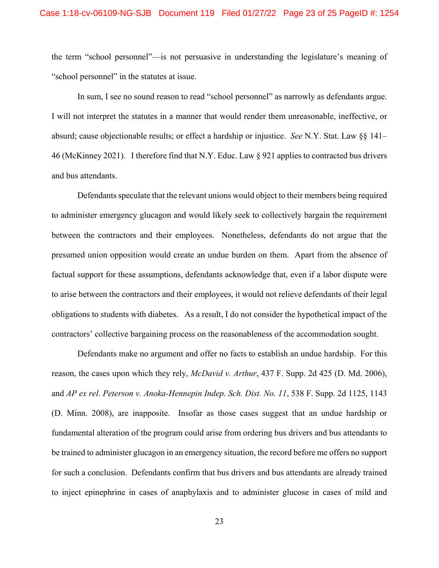the term "school personnel"—is not persuasive in understanding the legislature's meaning of "school personnel" in the statutes at issue.

In sum, I see no sound reason to read "school personnel" as narrowly as defendants argue. I will not interpret the statutes in a manner that would render them unreasonable, ineffective, or absurd; cause objectionable results; or effect a hardship or injustice. *See* N.Y. Stat. Law §§ 141– 46 (McKinney 2021). I therefore find that N.Y. Educ. Law § 921 applies to contracted bus drivers and bus attendants.

Defendants speculate that the relevant unions would object to their members being required to administer emergency glucagon and would likely seek to collectively bargain the requirement between the contractors and their employees. Nonetheless, defendants do not argue that the presumed union opposition would create an undue burden on them. Apart from the absence of factual support for these assumptions, defendants acknowledge that, even if a labor dispute were to arise between the contractors and their employees, it would not relieve defendants of their legal obligations to students with diabetes. As a result, I do not consider the hypothetical impact of the contractors' collective bargaining process on the reasonableness of the accommodation sought.

Defendants make no argument and offer no facts to establish an undue hardship. For this reason, the cases upon which they rely, *McDavid v. Arthur*, 437 F. Supp. 2d 425 (D. Md. 2006), and *AP ex rel. Peterson v. Anoka-Hennepin Indep. Sch. Dist. No. 11*, 538 F. Supp. 2d 1125, 1143 (D. Minn. 2008), are inapposite. Insofar as those cases suggest that an undue hardship or fundamental alteration of the program could arise from ordering bus drivers and bus attendants to be trained to administer glucagon in an emergency situation, the record before me offers no support for such a conclusion. Defendants confirm that bus drivers and bus attendants are already trained to inject epinephrine in cases of anaphylaxis and to administer glucose in cases of mild and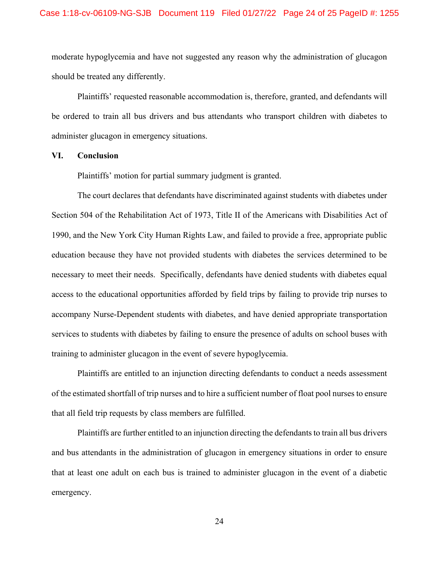moderate hypoglycemia and have not suggested any reason why the administration of glucagon should be treated any differently.

Plaintiffs' requested reasonable accommodation is, therefore, granted, and defendants will be ordered to train all bus drivers and bus attendants who transport children with diabetes to administer glucagon in emergency situations.

#### **VI. Conclusion**

Plaintiffs' motion for partial summary judgment is granted.

The court declares that defendants have discriminated against students with diabetes under Section 504 of the Rehabilitation Act of 1973, Title II of the Americans with Disabilities Act of 1990, and the New York City Human Rights Law, and failed to provide a free, appropriate public education because they have not provided students with diabetes the services determined to be necessary to meet their needs. Specifically, defendants have denied students with diabetes equal access to the educational opportunities afforded by field trips by failing to provide trip nurses to accompany Nurse-Dependent students with diabetes, and have denied appropriate transportation services to students with diabetes by failing to ensure the presence of adults on school buses with training to administer glucagon in the event of severe hypoglycemia.

Plaintiffs are entitled to an injunction directing defendants to conduct a needs assessment of the estimated shortfall of trip nurses and to hire a sufficient number of float pool nurses to ensure that all field trip requests by class members are fulfilled.

Plaintiffs are further entitled to an injunction directing the defendants to train all bus drivers and bus attendants in the administration of glucagon in emergency situations in order to ensure that at least one adult on each bus is trained to administer glucagon in the event of a diabetic emergency.